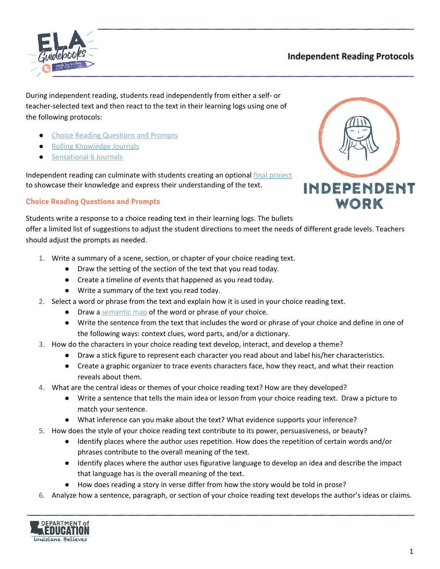

# **Independent Reading Protocols**

During independent reading, students read independently from either a self- or teacher-selected text and then react to the text in their learning logs using one of the following protocols:

- **Choice Reading Questions and Prompts**
- **Rolling Knowledge Journals**
- **Sensational 6 Journals**

Independent reading can culminate with students creating an optional final [project](#page-5-0) to showcase their knowledge and express their understanding of the text.

## **Choice Reading Questions and Prompts**



Students write a response to a choice reading text in their learning logs. The bullets offer a limited list of suggestions to adjust the student directions to meet the needs of different grade levels. Teachers should adjust the prompts as needed.

- 1. Write a summary of a scene, section, or chapter of your choice reading text.
	- Draw the setting of the section of the text that you read today.
	- Create a timeline of events that happened as you read today.
	- Write a summary of the text you read today.
- 2. Select a word or phrase from the text and explain how it is used in your choice reading text.
	- Draw a [semantic](https://www.louisianabelieves.com/docs/default-source/teacher-toolbox-resources/semantic-mapping.pdf?sfvrsn=2e0b831f_6) map of the word or phrase of your choice.
	- Write the sentence from the text that includes the word or phrase of your choice and define in one of the following ways: context clues, word parts, and/or a dictionary.
- 3. How do the characters in your choice reading text develop, interact, and develop a theme?
	- Draw a stick figure to represent each character you read about and label his/her characteristics.
	- Create a graphic organizer to trace events characters face, how they react, and what their reaction reveals about them.
- 4. What are the central ideas or themes of your choice reading text? How are they developed?
	- Write a sentence that tells the main idea or lesson from your choice reading text. Draw a picture to match your sentence.
	- What inference can you make about the text? What evidence supports your inference?
- 5. How does the style of your choice reading text contribute to its power, persuasiveness, or beauty?
	- Identify places where the author uses repetition. How does the repetition of certain words and/or phrases contribute to the overall meaning of the text.
	- Identify places where the author uses figurative language to develop an idea and describe the impact that language has is the overall meaning of the text.
	- How does reading a story in verse differ from how the story would be told in prose?
- 6. Analyze how a sentence, paragraph, or section of your choice reading text develops the author's ideas or claims.

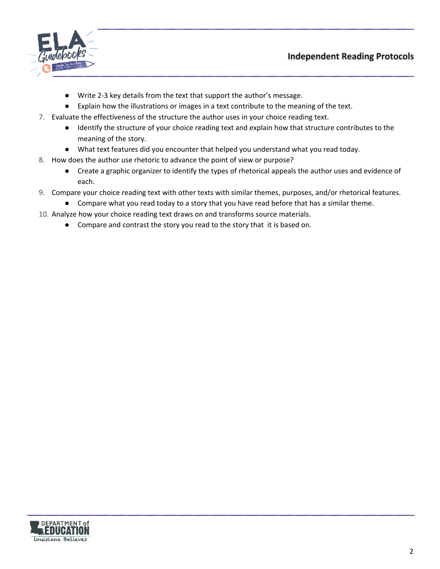



- Write 2-3 key details from the text that support the author's message.
- Explain how the illustrations or images in a text contribute to the meaning of the text.
- 7. Evaluate the effectiveness of the structure the author uses in your choice reading text.
	- Identify the structure of your choice reading text and explain how that structure contributes to the meaning of the story.
	- What text features did you encounter that helped you understand what you read today.
- 8. How does the author use rhetoric to advance the point of view or purpose?
	- Create a graphic organizer to identify the types of rhetorical appeals the author uses and evidence of each.
- 9. Compare your choice reading text with other texts with similar themes, purposes, and/or rhetorical features.
	- Compare what you read today to a story that you have read before that has a similar theme.
- 10. Analyze how your choice reading text draws on and transforms source materials.
	- Compare and contrast the story you read to the story that it is based on.

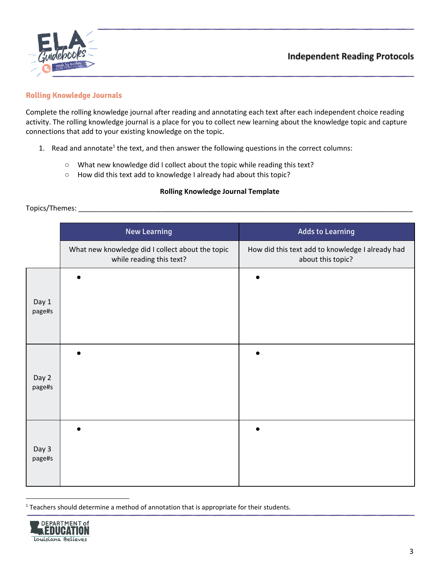

## **Rolling Knowledge Journals**

Complete the rolling knowledge journal after reading and annotating each text after each independent choice reading activity. The rolling knowledge journal is a place for you to collect new learning about the knowledge topic and capture connections that add to your existing knowledge on the topic.

- 1. Read and annotate<sup>1</sup> the text, and then answer the following questions in the correct columns:
	- What new knowledge did I collect about the topic while reading this text?
	- How did this text add to knowledge I already had about this topic?

### **Rolling Knowledge Journal Template**

### Topics/Themes: \_\_\_\_\_\_\_\_\_\_\_\_\_\_\_\_\_\_\_\_\_\_\_\_\_\_\_\_\_\_\_\_\_\_\_\_\_\_\_\_\_\_\_\_\_\_\_\_\_\_\_\_\_\_\_\_\_\_\_\_\_\_\_\_\_\_\_\_\_\_\_\_\_\_\_\_\_\_\_\_\_\_\_\_\_

|                 | <b>New Learning</b>                                                          | <b>Adds to Learning</b>                                               |
|-----------------|------------------------------------------------------------------------------|-----------------------------------------------------------------------|
|                 | What new knowledge did I collect about the topic<br>while reading this text? | How did this text add to knowledge I already had<br>about this topic? |
| Day 1<br>page#s |                                                                              |                                                                       |
| Day 2<br>page#s |                                                                              |                                                                       |
| Day 3<br>page#s |                                                                              |                                                                       |

 $1$  Teachers should determine a method of annotation that is appropriate for their students.

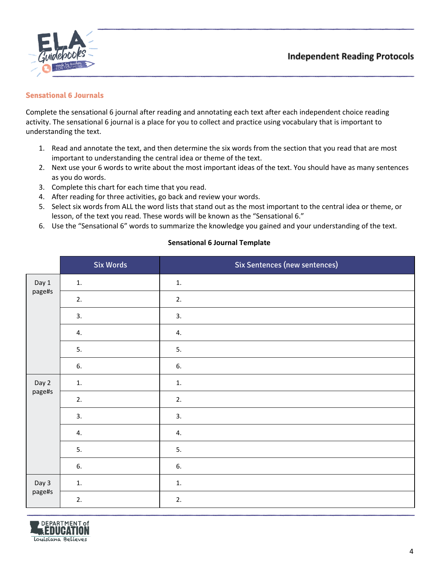



### **Sensational 6 Journals**

Complete the sensational 6 journal after reading and annotating each text after each independent choice reading activity. The sensational 6 journal is a place for you to collect and practice using vocabulary that is important to understanding the text.

- 1. Read and annotate the text, and then determine the six words from the section that you read that are most important to understanding the central idea or theme of the text.
- 2. Next use your 6 words to write about the most important ideas of the text. You should have as many sentences as you do words.
- 3. Complete this chart for each time that you read.
- 4. After reading for three activities, go back and review your words.
- 5. Select six words from ALL the word lists that stand out as the most important to the central idea or theme, or lesson, of the text you read. These words will be known as the "Sensational 6."
- 6. Use the "Sensational 6" words to summarize the knowledge you gained and your understanding of the text.

|                 | <b>Six Words</b> | <b>Six Sentences (new sentences)</b> |
|-----------------|------------------|--------------------------------------|
| Day 1<br>page#s | 1.               | 1.                                   |
|                 | 2.               | 2.                                   |
|                 | 3.               | 3.                                   |
|                 | 4.               | 4.                                   |
|                 | 5.               | 5.                                   |
|                 | 6.               | 6.                                   |
| Day 2<br>page#s | 1.               | 1.                                   |
|                 | 2.               | 2.                                   |
|                 | 3.               | 3.                                   |
|                 | 4.               | 4.                                   |
|                 | 5.               | 5.                                   |
|                 | 6.               | 6.                                   |
| Day 3<br>page#s | 1.               | $1.$                                 |
|                 | 2.               | 2.                                   |

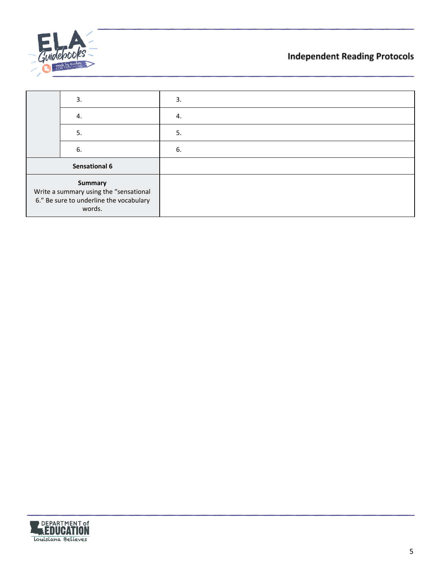

# **Independent Reading Protocols**

|                                                                                                               | 3. | 3. |
|---------------------------------------------------------------------------------------------------------------|----|----|
|                                                                                                               | 4. | 4. |
|                                                                                                               | 5. | 5. |
|                                                                                                               | 6. | 6. |
| <b>Sensational 6</b>                                                                                          |    |    |
| <b>Summary</b><br>Write a summary using the "sensational<br>6." Be sure to underline the vocabulary<br>words. |    |    |